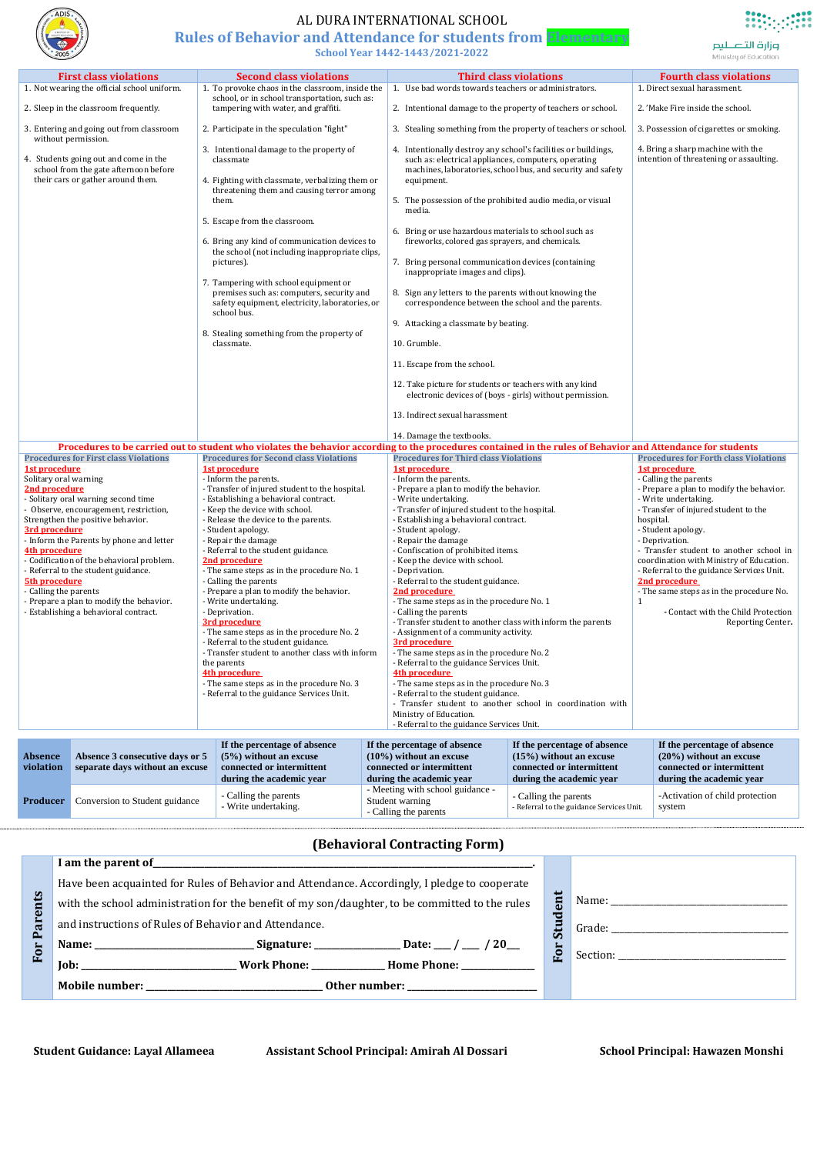|                                                                                                                                                                                                                                                                                                                                                                                                                                                                                                                                            | <b>First class violations</b>                                                                                                                                                                                                                                                                                                                                                                                                                                                                                                                                                                                                                                                                                                                                                                                                                                                                                                                                                                                                                                                                                                                                                                                                                                                                                                                                                                                                                                                                                                                            | <b>Second class violations</b>                                                                                                                                                                                                                                                                                                                                                                                                                                                                                                                                                                                                                                                                                                                                                                                     |                                                                                                                                                                                                                                                                                                                                                                                                                                                                                                                                                                                                                                                                                                                                                                                                                                                                                                                               | <b>Third class violations</b>                                                                                      | <b>Fourth class violations</b>                                                                                                                                                                                                                                                                                                                                                                                                                                                                                            |  |
|--------------------------------------------------------------------------------------------------------------------------------------------------------------------------------------------------------------------------------------------------------------------------------------------------------------------------------------------------------------------------------------------------------------------------------------------------------------------------------------------------------------------------------------------|----------------------------------------------------------------------------------------------------------------------------------------------------------------------------------------------------------------------------------------------------------------------------------------------------------------------------------------------------------------------------------------------------------------------------------------------------------------------------------------------------------------------------------------------------------------------------------------------------------------------------------------------------------------------------------------------------------------------------------------------------------------------------------------------------------------------------------------------------------------------------------------------------------------------------------------------------------------------------------------------------------------------------------------------------------------------------------------------------------------------------------------------------------------------------------------------------------------------------------------------------------------------------------------------------------------------------------------------------------------------------------------------------------------------------------------------------------------------------------------------------------------------------------------------------------|--------------------------------------------------------------------------------------------------------------------------------------------------------------------------------------------------------------------------------------------------------------------------------------------------------------------------------------------------------------------------------------------------------------------------------------------------------------------------------------------------------------------------------------------------------------------------------------------------------------------------------------------------------------------------------------------------------------------------------------------------------------------------------------------------------------------|-------------------------------------------------------------------------------------------------------------------------------------------------------------------------------------------------------------------------------------------------------------------------------------------------------------------------------------------------------------------------------------------------------------------------------------------------------------------------------------------------------------------------------------------------------------------------------------------------------------------------------------------------------------------------------------------------------------------------------------------------------------------------------------------------------------------------------------------------------------------------------------------------------------------------------|--------------------------------------------------------------------------------------------------------------------|---------------------------------------------------------------------------------------------------------------------------------------------------------------------------------------------------------------------------------------------------------------------------------------------------------------------------------------------------------------------------------------------------------------------------------------------------------------------------------------------------------------------------|--|
|                                                                                                                                                                                                                                                                                                                                                                                                                                                                                                                                            | 1. Not wearing the official school uniform.                                                                                                                                                                                                                                                                                                                                                                                                                                                                                                                                                                                                                                                                                                                                                                                                                                                                                                                                                                                                                                                                                                                                                                                                                                                                                                                                                                                                                                                                                                              | 1. To provoke chaos in the classroom, inside the                                                                                                                                                                                                                                                                                                                                                                                                                                                                                                                                                                                                                                                                                                                                                                   | 1. Use bad words towards teachers or administrators.                                                                                                                                                                                                                                                                                                                                                                                                                                                                                                                                                                                                                                                                                                                                                                                                                                                                          |                                                                                                                    | 1. Direct sexual harassment.                                                                                                                                                                                                                                                                                                                                                                                                                                                                                              |  |
|                                                                                                                                                                                                                                                                                                                                                                                                                                                                                                                                            | 2. Sleep in the classroom frequently.                                                                                                                                                                                                                                                                                                                                                                                                                                                                                                                                                                                                                                                                                                                                                                                                                                                                                                                                                                                                                                                                                                                                                                                                                                                                                                                                                                                                                                                                                                                    | school, or in school transportation, such as:<br>tampering with water, and graffiti.                                                                                                                                                                                                                                                                                                                                                                                                                                                                                                                                                                                                                                                                                                                               | 2. Intentional damage to the property of teachers or school.                                                                                                                                                                                                                                                                                                                                                                                                                                                                                                                                                                                                                                                                                                                                                                                                                                                                  |                                                                                                                    | 2. 'Make Fire inside the school.                                                                                                                                                                                                                                                                                                                                                                                                                                                                                          |  |
|                                                                                                                                                                                                                                                                                                                                                                                                                                                                                                                                            |                                                                                                                                                                                                                                                                                                                                                                                                                                                                                                                                                                                                                                                                                                                                                                                                                                                                                                                                                                                                                                                                                                                                                                                                                                                                                                                                                                                                                                                                                                                                                          | 2. Participate in the speculation "fight"                                                                                                                                                                                                                                                                                                                                                                                                                                                                                                                                                                                                                                                                                                                                                                          |                                                                                                                                                                                                                                                                                                                                                                                                                                                                                                                                                                                                                                                                                                                                                                                                                                                                                                                               |                                                                                                                    | 3. Possession of cigarettes or smoking.                                                                                                                                                                                                                                                                                                                                                                                                                                                                                   |  |
|                                                                                                                                                                                                                                                                                                                                                                                                                                                                                                                                            | 3. Entering and going out from classroom<br>3. Stealing something from the property of teachers or school.<br>without permission.<br>3. Intentional damage to the property of<br>4. Intentionally destroy any school's facilities or buildings,<br>4. Students going out and come in the<br>such as: electrical appliances, computers, operating<br>classmate<br>school from the gate afternoon before<br>machines, laboratories, school bus, and security and safety<br>their cars or gather around them.<br>4. Fighting with classmate, verbalizing them or<br>equipment.<br>threatening them and causing terror among<br>5. The possession of the prohibited audio media, or visual<br>them.<br>media.<br>5. Escape from the classroom.<br>6. Bring or use hazardous materials to school such as<br>fireworks, colored gas sprayers, and chemicals.<br>6. Bring any kind of communication devices to<br>the school (not including inappropriate clips,<br>7. Bring personal communication devices (containing<br>pictures).<br>inappropriate images and clips).<br>7. Tampering with school equipment or<br>premises such as: computers, security and<br>8. Sign any letters to the parents without knowing the<br>safety equipment, electricity, laboratories, or<br>correspondence between the school and the parents.<br>school bus.<br>9. Attacking a classmate by beating.<br>8. Stealing something from the property of<br>10. Grumble.<br>classmate.<br>11. Escape from the school.<br>12. Take picture for students or teachers with any kind |                                                                                                                                                                                                                                                                                                                                                                                                                                                                                                                                                                                                                                                                                                                                                                                                                    | 4. Bring a sharp machine with the<br>intention of threatening or assaulting.                                                                                                                                                                                                                                                                                                                                                                                                                                                                                                                                                                                                                                                                                                                                                                                                                                                  |                                                                                                                    |                                                                                                                                                                                                                                                                                                                                                                                                                                                                                                                           |  |
|                                                                                                                                                                                                                                                                                                                                                                                                                                                                                                                                            | electronic devices of (boys - girls) without permission.<br>13. Indirect sexual harassment                                                                                                                                                                                                                                                                                                                                                                                                                                                                                                                                                                                                                                                                                                                                                                                                                                                                                                                                                                                                                                                                                                                                                                                                                                                                                                                                                                                                                                                               |                                                                                                                                                                                                                                                                                                                                                                                                                                                                                                                                                                                                                                                                                                                                                                                                                    |                                                                                                                                                                                                                                                                                                                                                                                                                                                                                                                                                                                                                                                                                                                                                                                                                                                                                                                               |                                                                                                                    |                                                                                                                                                                                                                                                                                                                                                                                                                                                                                                                           |  |
|                                                                                                                                                                                                                                                                                                                                                                                                                                                                                                                                            |                                                                                                                                                                                                                                                                                                                                                                                                                                                                                                                                                                                                                                                                                                                                                                                                                                                                                                                                                                                                                                                                                                                                                                                                                                                                                                                                                                                                                                                                                                                                                          |                                                                                                                                                                                                                                                                                                                                                                                                                                                                                                                                                                                                                                                                                                                                                                                                                    | 14. Damage the textbooks.                                                                                                                                                                                                                                                                                                                                                                                                                                                                                                                                                                                                                                                                                                                                                                                                                                                                                                     |                                                                                                                    |                                                                                                                                                                                                                                                                                                                                                                                                                                                                                                                           |  |
|                                                                                                                                                                                                                                                                                                                                                                                                                                                                                                                                            |                                                                                                                                                                                                                                                                                                                                                                                                                                                                                                                                                                                                                                                                                                                                                                                                                                                                                                                                                                                                                                                                                                                                                                                                                                                                                                                                                                                                                                                                                                                                                          | Procedures to be carried out to student who violates the behavior according to the procedures contained in the rules of Behavior and Attendance for students                                                                                                                                                                                                                                                                                                                                                                                                                                                                                                                                                                                                                                                       |                                                                                                                                                                                                                                                                                                                                                                                                                                                                                                                                                                                                                                                                                                                                                                                                                                                                                                                               |                                                                                                                    |                                                                                                                                                                                                                                                                                                                                                                                                                                                                                                                           |  |
| <b>Procedures for First class Violations</b><br><b>1st procedure</b><br>Solitary oral warning<br>2nd procedure<br>- Solitary oral warning second time<br>- Observe, encouragement, restriction,<br>Strengthen the positive behavior.<br>3rd procedure<br>- Inform the Parents by phone and letter<br>4th procedure<br>- Codification of the behavioral problem.<br>- Referral to the student guidance.<br><b>5th procedure</b><br>Calling the parents<br>- Prepare a plan to modify the behavior.<br>- Establishing a behavioral contract. |                                                                                                                                                                                                                                                                                                                                                                                                                                                                                                                                                                                                                                                                                                                                                                                                                                                                                                                                                                                                                                                                                                                                                                                                                                                                                                                                                                                                                                                                                                                                                          | <b>Procedures for Second class Violations</b><br>1st procedure<br>- Inform the parents.<br>- Transfer of injured student to the hospital.<br>- Establishing a behavioral contract.<br>- Keep the device with school.<br>- Release the device to the parents.<br>- Student apology.<br>- Repair the damage<br>- Referral to the student guidance.<br>2nd procedure<br>- The same steps as in the procedure No. 1<br>- Calling the parents<br>- Prepare a plan to modify the behavior.<br>- Write undertaking.<br>- Deprivation.<br>3rd procedure<br>- The same steps as in the procedure No. 2<br>- Referral to the student guidance.<br>- Transfer student to another class with inform<br>the parents<br>4th procedure<br>- The same steps as in the procedure No. 3<br>- Referral to the guidance Services Unit. | <b>Procedures for Third class Violations</b><br>1st procedure<br>- Inform the parents.<br>- Prepare a plan to modify the behavior.<br>- Write undertaking.<br>- Transfer of injured student to the hospital.<br>- Establishing a behavioral contract.<br>- Student apology.<br>- Repair the damage<br>- Confiscation of prohibited items.<br>- Keep the device with school.<br>- Deprivation.<br>- Referral to the student guidance.<br>2nd procedure<br>- The same steps as in the procedure No. 1<br>- Calling the parents<br>- Transfer student to another class with inform the parents<br>- Assignment of a community activity.<br>3rd procedure<br>- The same steps as in the procedure No. 2<br>- Referral to the guidance Services Unit.<br>4th procedure<br>- The same steps as in the procedure No. 3<br>- Referral to the student guidance.<br>Ministry of Education.<br>- Referral to the guidance Services Unit. | - Transfer student to another school in coordination with                                                          | <b>Procedures for Forth class Violations</b><br>1st procedure<br>- Calling the parents<br>- Prepare a plan to modify the behavior.<br>- Write undertaking.<br>- Transfer of injured student to the<br>hospital.<br>- Student apology.<br>- Deprivation.<br>- Transfer student to another school in<br>coordination with Ministry of Education.<br>- Referral to the guidance Services Unit.<br>2nd procedure<br>- The same steps as in the procedure No.<br>1<br>- Contact with the Child Protection<br>Reporting Center. |  |
| <b>Absence</b><br>violation                                                                                                                                                                                                                                                                                                                                                                                                                                                                                                                | Absence 3 consecutive days or 5<br>separate days without an excuse                                                                                                                                                                                                                                                                                                                                                                                                                                                                                                                                                                                                                                                                                                                                                                                                                                                                                                                                                                                                                                                                                                                                                                                                                                                                                                                                                                                                                                                                                       | If the percentage of absence<br>$(5\%)$ without an excuse<br>connected or intermittent<br>during the academic year                                                                                                                                                                                                                                                                                                                                                                                                                                                                                                                                                                                                                                                                                                 | If the percentage of absence<br>$(10\%)$ without an excuse<br>connected or intermittent<br>during the academic year                                                                                                                                                                                                                                                                                                                                                                                                                                                                                                                                                                                                                                                                                                                                                                                                           | If the percentage of absence<br>$(15%)$ without an excuse<br>connected or intermittent<br>during the academic year | If the percentage of absence<br>$(20\%)$ without an excuse<br>connected or intermittent<br>during the academic year                                                                                                                                                                                                                                                                                                                                                                                                       |  |
| Producer                                                                                                                                                                                                                                                                                                                                                                                                                                                                                                                                   | Conversion to Student guidance                                                                                                                                                                                                                                                                                                                                                                                                                                                                                                                                                                                                                                                                                                                                                                                                                                                                                                                                                                                                                                                                                                                                                                                                                                                                                                                                                                                                                                                                                                                           | - Calling the parents<br>- Write undertaking.                                                                                                                                                                                                                                                                                                                                                                                                                                                                                                                                                                                                                                                                                                                                                                      | - Meeting with school guidance -<br>Student warning<br>- Calling the parents                                                                                                                                                                                                                                                                                                                                                                                                                                                                                                                                                                                                                                                                                                                                                                                                                                                  | - Calling the parents<br>- Referral to the guidance Services Unit.                                                 | -Activation of child protection<br>system                                                                                                                                                                                                                                                                                                                                                                                                                                                                                 |  |

| ents<br>I <sub>R</sub><br>p,<br>For | Have been acquainted for Rules of Behavior and Attendance. Accordingly, I pledge to cooperate                                                                                                                                                                           |                         |                                                                                                                                                                                                                                |
|-------------------------------------|-------------------------------------------------------------------------------------------------------------------------------------------------------------------------------------------------------------------------------------------------------------------------|-------------------------|--------------------------------------------------------------------------------------------------------------------------------------------------------------------------------------------------------------------------------|
|                                     | with the school administration for the benefit of my son/daughter, to be committed to the rules                                                                                                                                                                         | $\mathbf{g}$            |                                                                                                                                                                                                                                |
|                                     | and instructions of Rules of Behavior and Attendance.                                                                                                                                                                                                                   | $\mathbf{m}$            | Grade:                                                                                                                                                                                                                         |
|                                     |                                                                                                                                                                                                                                                                         | $\overline{\mathbf{C}}$ | Section: the contract of the contract of the contract of the contract of the contract of the contract of the contract of the contract of the contract of the contract of the contract of the contract of the contract of the c |
|                                     | <b>Work Phone:</b><br><b>Home Phone:</b><br>$\mathbf{Job}$ :                                                                                                                                                                                                            | Ŀ.                      |                                                                                                                                                                                                                                |
|                                     | <b>Mobile number:</b><br>Other number:<br>the control of the control of the control of the control of the control of the control of the control of the control of the control of the control of the control of the control of the control of the control of the control |                         |                                                                                                                                                                                                                                |

## **(Behavioral Contracting Form)**

| I am the parent of |  |
|--------------------|--|
|                    |  |

**Student Guidance: Layal Allameea Assistant School Principal: Amirah Al Dossari School Principal: Hawazen Monshi**



## AL DURA INTERNATIONAL SCHOOL

## **Rules of Behavior and Attendance for students from Elementary School Year 1442-1443/2021-2022**

وزارة التصليم

Ministry of Education